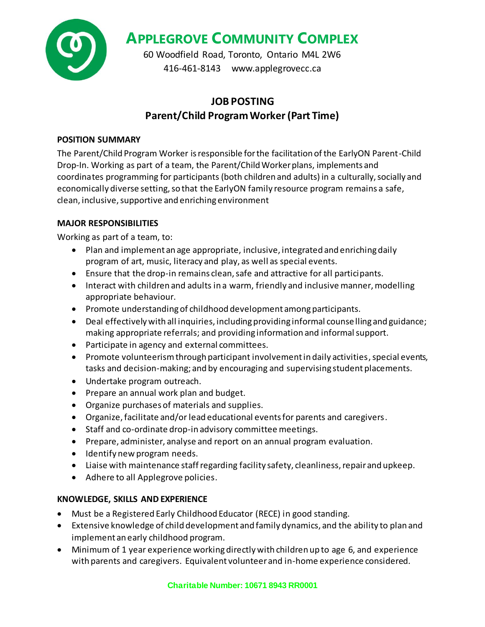

**APPLEGROVE COMMUNITY COMPLEX**

60 Woodfield Road, Toronto, Ontario M4L 2W6 416-461-8143 www.applegrovecc.ca

# **JOB POSTING Parent/Child Program Worker(Part Time)**

# **POSITION SUMMARY**

The Parent/Child Program Worker is responsible for the facilitation of the EarlyON Parent-Child Drop-In. Working as part of a team, the Parent/Child Worker plans, implements and coordinates programming for participants (both children and adults) in a culturally, socially and economically diverse setting, so that the EarlyON family resource program remains a safe, clean, inclusive, supportive and enriching environment

# **MAJOR RESPONSIBILITIES**

Working as part of a team, to:

- Plan and implement an age appropriate, inclusive, integrated and enriching daily program of art, music, literacy and play, as well as special events.
- Ensure that the drop-in remains clean, safe and attractive for all participants.
- Interact with children and adults in a warm, friendly and inclusive manner, modelling appropriate behaviour.
- Promote understanding of childhood development among participants.
- Deal effectively with all inquiries, including providing informal counselling and guidance; making appropriate referrals; and providing information and informal support.
- Participate in agency and external committees.
- Promote volunteerism through participant involvement in daily activities, special events, tasks and decision-making; and by encouraging and supervising student placements.
- Undertake program outreach.
- Prepare an annual work plan and budget.
- Organize purchases of materials and supplies.
- Organize, facilitate and/or lead educational events for parents and caregivers.
- Staff and co-ordinate drop-in advisory committee meetings.
- Prepare, administer, analyse and report on an annual program evaluation.
- Identify new program needs.
- Liaise with maintenance staff regarding facility safety, cleanliness, repair and upkeep.
- Adhere to all Applegrove policies.

## **KNOWLEDGE, SKILLS AND EXPERIENCE**

- Must be a Registered Early Childhood Educator (RECE) in good standing.
- Extensive knowledge of child development and family dynamics, and the ability to plan and implement an early childhood program.
- Minimum of 1 year experience working directly with children up to age 6, and experience with parents and caregivers. Equivalent volunteer and in-home experience considered.